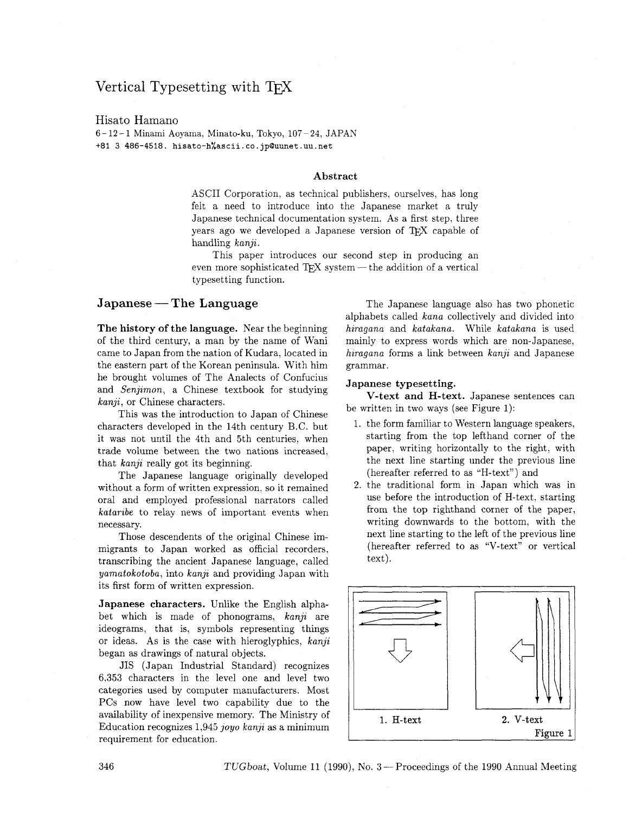# Vertical Typesetting with

## Hisato Hamano

<sup>6</sup>- 12 - 1 Minami Aoyama, Minato-ku, Tokyo, 107 24, JAPAN +81 3 486-4518. **hisato-h%ascii.co.jp@uunet.uu.net** 

#### **Abstract**

ASCII Corporation. as technical publishers, ourselves, has long felt a need to introduce into the Japanese market a truly Japanese technical documentation system. As a first step, three years ago we developed a Japanese version of TFX capable of handling kanji.

This paper introduces our second step in producing an even more sophisticated  $TFX$  system — the addition of a vertical typesetting function.

## **Japanese** - **The Language**

**The history of the language.** Near the beginning of the third century, a man by the name of Wani came to Japan from the nation of Kudara, located in the eastern part of the Korean peninsula. With him he brought volumes of The Analects of Confucius and Senjimon; a Chinese textbook for studying kanji, or Chinese characters.

This was the introduction to Japan of Chinese characters developed in the 14th century B.C. but it was not until the 4th and 5th centuries, when trade volume between the two nations increased, that  $kanji$  really got its beginning.

The Japanese language originally developed without a form of written expression, so it remained oral and employed professional narrators called kataribe to relay news of important events when necessary.

Those descendents of the original Chinese immigrants to Japan worked as official recorders, transcribing the ancient Japanese language, called yamatokotoba, into kanji and providing Japan with its first form of written expression.

**Japanese characters.** Unlike the English alphabet which is made of phonograms, kanji are ideograms, that is, symbols representing things or ideas. As is the case with hieroglyphics, kanji began as drawings of natural objects.

JIS (Japan Industrial Standard) recognizes 6,353 characters in the level one and level two categories used by computer manufacturers. Most PCs now have level two capability due to the availability of inexpensive memory. The Ministry of Education recognizes  $1,945$  joyo kanji as a minimum requirement for education.

The Japanese language also has two phonetic alphabets called kana collectively and divided into hiragana and katakana. While katakana is used mainly to express words which are non-Japanese, hiragana forms a link between  $kanji$  and Japanese grammar.

#### **Japanese typesetting.**

**V-text and H-text.** Japanese sentences can be written in two ways (see Figure 1):

- 1. the form familiar to Western language speakers, starting from the top lefthand corner of the paper, writing horizontally to the right, with the next line starting under the previous line (hereafter referred to as "H-text") and
- 2. the traditional form in Japan which was in use before the introduction of H-text, starting from the top righthand corner of the paper, writing downwards to the bottom, with the next line starting to the left of the previous line (hereafter referred to as "V-text" or vertical text).

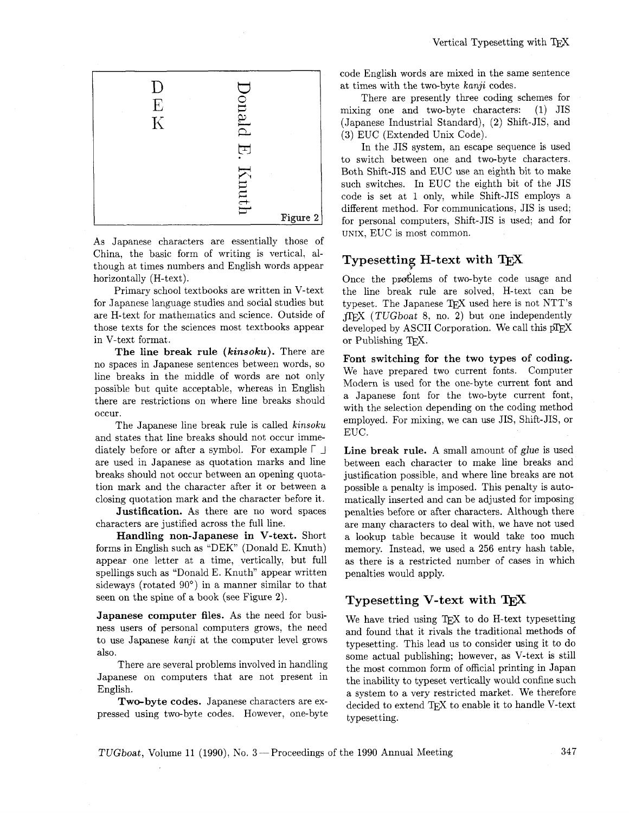

As Japanese characters are essentially those of China, the basic form of writing is vertical, although at times numbers and English words appear horizontally (H-text).

Primary school textbooks are written in V-text for Japanese language studies and social studies but are H-text for mathematics and science. Outside of those texts for the sciences most textbooks appear in V-text format.

**The line break rule (kinsoku).** There are no spaces in Japanese sentences between words, so line breaks in the middle of words are not only possible but quite acceptable, whereas in English there are restrictions on where line breaks should occur.

The Japanese line break rule is called **kinsoku**  and states that line breaks should not occur immediately before or after a symbol. For example  $\lceil \ \ \rfloor$ are used in Japanese as quotation marks and line breaks should not occur between an opening quotation mark and the character after it or between a closing quotation mark and the character before it.

**Justification.** As there are no word spaces characters are justified across the full line.

**Handling non-Japanese in V-text.** Short forms in English such as "DEK" (Donald E. Knuth) appear one letter at a time, vertically, but full spellings such as "Donald E. Knuth" appear written sideways (rotated  $90^{\circ}$ ) in a manner similar to that seen on the spine of a book (see Figure **2).** 

**Japanese computer files.** As the need for business users of personal computers grows, the need to use Japanese *kanji* at the computer level grows also.

There are several problems involved in handling Japanese on computers that are not present in English.

**Two-byte codes.** Japanese characters are expressed using two-byte codes. However, one-byte code English words are mixed in the same sentence at times with the two-byte *kanji* codes.

There are presently three coding schemes for mixing one and two-byte characters: (1) JIS (Japanese Industrial Standard), (2) Shift-JIS, and **(3)** EUC (Extended Unix Code).

In the JIS system, an escape sequence is used to switch between one and two-byte characters. Both Shift-JIS and EUC use an eighth bit to make such switches. In EUC the eighth bit of the JIS code is set at 1 only, while Shift-JIS employs a different method. For communications, JIS is used; for personal computers, Shift-JIS is used; and for UNIX, EUC is most common.

## **Typesetting H-text with TEX**

Once the problems of two-byte code usage and the line break rule are solved, H-text can be typeset. The Japanese TFX used here is not NTT's JTEX (TUGboat 8, no. **2)** but one independently developed by ASCII Corporation. We call this pTEX or Publishing TFX.

**Font switching for the two types of coding.**  We have prepared two current fonts. Computer Modern is used for the one-byte current font and a Japanese font for the two-byte current font, with the selection depending on the coding method employed. For mixing, we can use JIS, Shift-JIS, or EUC.

Line break rule. A small amount of glue is used between each character to make line breaks and justification possible, and where line breaks are not possible a penalty is imposed. This penalty is automatically inserted and can be adjusted for imposing penalties before or after characters. Although there are many characters to deal with, we have not used a lookup table because it would take too much memory. Instead, we used a 256 entry hash table, as there is a restricted number of cases in which penalties would apply.

# **Typesetting V-text with** TEX

We have tried using TEX to do H-text typesetting and found that it rivals the traditional methods of typesetting. This lead us to consider using it to do some actual publishing; however, **as** V-text is still the most common form of official printing in Japan the inability to typeset vertically would confine such a system to a very restricted market. We therefore decided to extend TFX to enable it to handle V-text typesetting.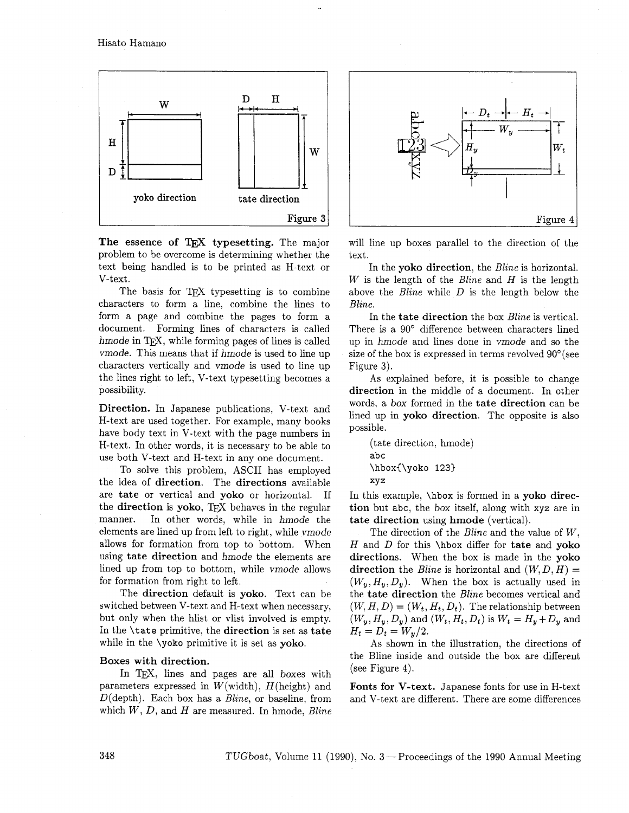Hisato Hamano



The essence of TEX typesetting. The major problem to be overcome is determining whether the text being handled is to be printed as H-text or V-text.

The basis for TEX typesetting is to combine characters to form a line, combine the lines to form a page and combine the pages to form a document. Forming lines of characters is called hmode in T<sub>F</sub>X, while forming pages of lines is called vrnode. This means that if hmode is used to line up characters vertically and vmode is used to line up the lines right to left, V-text typesetting becomes a possibility.

Direction. In Japanese publications, V-text and H-text are used together. For example, many books have body text in V-text with the page numbers in H-text. In other words, it is necessary to be able to use both V-text and H-text in any one document.

To solve this problem, ASCII has employed the idea of direction. The directions available are tate or vertical and yoko or horizontal. If the direction is yoko, TFX behaves in the regular manner. In other words, while in hmode the elements are lined up from left to right, while vmode allows for formation from top to bottom. When using tate direction and hmode the elements are lined up from top to bottom, while vmode allows for formation from right to left.

The direction default is yoko. Text can be switched between V-text and H-text when necessary, but only when the hlist or vlist involved is empty. In the \tate primitive, the direction is set as tate while in the \yoko primitive it is set as yoko.

#### Boxes with direction.

In TEX, lines and pages are all boxes with parameters expressed in  $W(\text{width})$ ,  $H(\text{height})$  and  $D$ (depth). Each box has a *Bline*, or baseline, from which  $W, D$ , and  $H$  are measured. In hmode,  $Bline$ 



will line up boxes parallel to the direction of the text.

In the yoko direction, the *Bline* is horizontal. W is the length of the *Bline* and  $H$  is the length above the Bline while D is the length below the Bline.

In the tate direction the box *Bline* is vertical. There is a 90' difference between characters lined up in hmode and lines done in vrnode and so the size of the box is expressed in terms revolved 90°(see Figure 3).

As explained before, it is possible to change direction in the middle of a document. In other words, a box formed in the tate direction can be lined up in yoko direction. The opposite is also possible.

```
(tate direction, hmode) 
abc
\hbox{\yoko 123) 
xyz
```
In this example, \hbox is formed in a yoko direction but abc, the box itself, along with xyz are in tate direction using hmode (vertical).

The direction of the Bline and the value of W, H and D for this  $\hbar$  or differ for tate and voko directions. When the box is made in the yoko direction the Bline is horizontal and  $(W, D, H) =$  $(W_u, H_v, D_v)$ . When the box is actually used in the tate direction the Bline becomes vertical and  $(W, H, D) = (W_t, H_t, D_t)$ . The relationship between  $(W_y, H_y, D_y)$  and  $(W_t, H_t, D_t)$  is  $W_t = H_y + D_y$  and  $H_t = D_t = W_y/2.$ 

As shown in the illustration, the directions of the Bline inside and outside the box are different (see Figure 4).

Fonts for V-text. Japanese fonts for use in H-text and V-text are different. There are some differences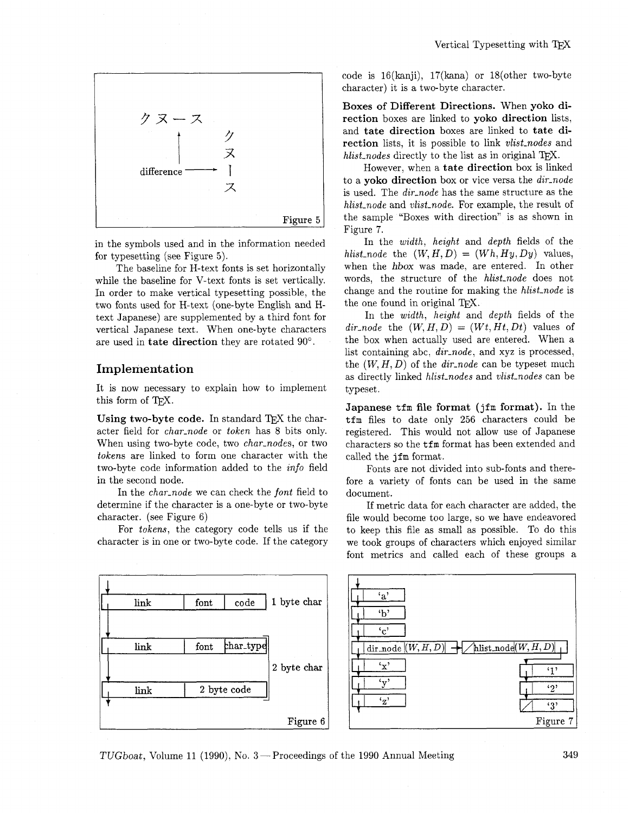

in the symbols used and in the information needed for typesetting (see Figure 5).

The baseline for H-text fonts is set horizontally while the baseline for V-text fonts is set vertically. In order to make vertical typesetting possible, the two fonts used for H-text (one-byte English and Htext Japanese) are supplemented by a third font for vertical Japanese text. When one-byte characters are used in **tate direction** they are rotated 90".

## **Implement at ion**

It is now necessary to explain how to implement this form of TFX.

Using two-byte code. In standard TEX the character field for char-node or token has 8 bits only. When using two-byte code, two char-nodes, or two tokens are linked to form one character with the two-byte code information added to the info field in the second node.

In the char-node we can check the font field to determine if the character is a one-byte or two-byte character. (see Figure 6)

For tokens, the category code tells us if the character is in one or two-byte code. If the category code is  $16(kani)$ ,  $17(kana)$  or  $18(other two-byte)$ character) it is a two-byte character.

**Boxes of Different Directions.** When **yoko direction** boxes are linked to **yoko direction** lists, and **tate direction** boxes are linked to **tate direction** lists, it is possible to link vlist-nodes and hlist<sub>nodes</sub> directly to the list as in original T<sub>F</sub>X.

However, when a **tate direction** box is linked to a **yoko direction** box or vice versa the dir-node is used. The dir-node has the same structure as the hlist<sub>node</sub> and vlist<sub>node</sub>. For example, the result of the sample "Boxes with direction" is as shown in Figure 7.

In the *width*, *height* and *depth* fields of the hlist<sub>node</sub> the  $(W, H, D) = (Wh, Hy, Dy)$  values, when the hbox was made, are entered. In other words, the structure of the hlist-node does not change and the routine for making the *hlist-node* is the one found in original TFX.

In the *width*, *height* and *depth* fields of the  $dir\_node$  the  $(W, H, D) = (Wt, Ht, Dt)$  values of the box when actually used are entered. When a list containing abc, dir-node, and xyz is processed, the  $(W, H, D)$  of the *dir-node* can be typeset much as directly linked hlist-nodes and vlist-nodes can be typeset.

**Japanese** tfm **file format** (jfm **format).** In the tfm files to date only 256 characters could be registered. This would not allow use of Japanese characters so the tfm format has been extended and called the jfm format.

Fonts are not divided into sub-fonts and therefore a variety of fonts can be used in the same document.

If metric data for each character are added, the file would become too large, so we have endeavored to keep this file as small as possible. To do this we took groups of characters which enjoyed similar font metrics and called each of these groups a



TUGboat, Volume 11 (1990), No. **3** -Proceedings of the 1990 Annual Meeting 349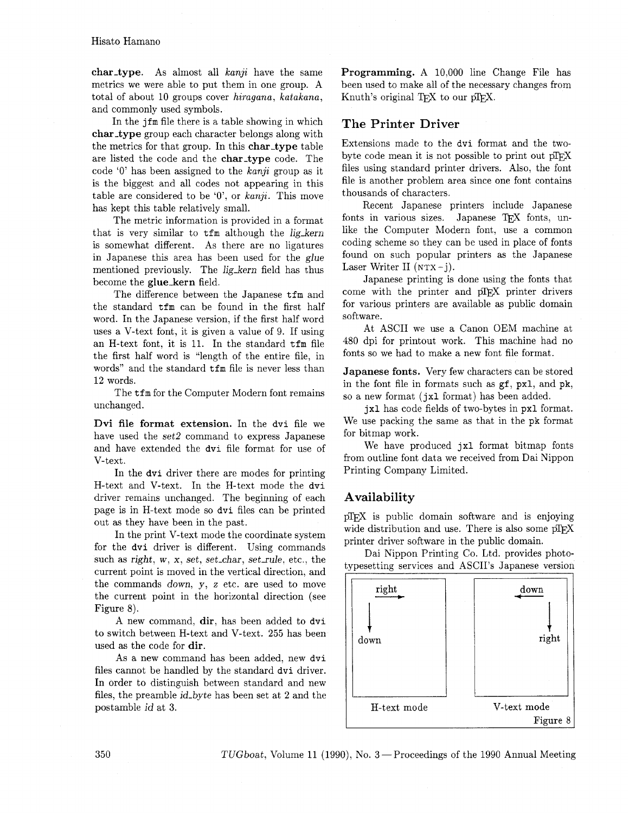char-type. As almost all  $kanji$  have the same metrics we were able to put them in one group. A total of about 10 groups cover hiragana, katakana, and commonly used symbols.

In the jfm file there is a table showing in which char-type group each character belongs along with the metrics for that group. In this char-type table are listed the code and the char-type code. The code '0' has been assigned to the  $kanji$  group as it is the biggest and all codes not appearing in this table are considered to be  $0$ , or kanji. This move has kept this table relatively small.

The metric information is provided in a format that is very similar to  $tfm$  although the lig\_kern is somewhat different. As there are no ligatures in Japanese this area has been used for the glue mentioned previously. The lig\_kern field has thus become the glue\_kern field.

The difference between the Japanese tfm and the standard  $t$ fm can be found in the first half word. In the Japanese version, if the first half word uses a V-text font, it is given a value of 9. If using an H-text font, it is 11. In the standard tfm file the first half word is "length of the entire file, in words" and the standard  $t$ fm file is never less than 12 words.

The tim for the Computer Modern font remains unchanged.

Dvi file format extension. In the dvi file we have used the set2 command to express Japanese and have extended the dvi file format for use of V-text.

In the dvi driver there are modes for printing H-text and V-text. In the H-text mode the dvi driver remains unchanged. The beginning of each page is in H-text mode so dvi files can be printed out as they have been in the past.

In the print V-text mode the coordinate system for the dvi driver is different. Using commands such as right, w, x, set, set-char, setrule, etc., the current point is moved in the vertical direction, and the commands down, y, z etc. are used to move the current point in the horizontal direction (see Figure 8).

A new command, dir, has been added to dvi to switch between H-text and V-text. 255 has been used as the code for dir.

As a new command has been added, new dvi files cannot be handled by the standard dvi driver. In order to distinguish between standard and new files, the preamble id-byte has been set at 2 and the postamble id at 3.

Programming. A 10,000 line Change File has been used to make all of the necessary changes from Knuth's original T<sub>E</sub>X to our pT<sub>E</sub>X.

# The Printer Driver

Extensions made to the dvi format and the twobyte code mean it is not possible to print out pTFX files using standard printer drivers. Also, the font file is another problem area since one font contains thousands of characters.

Recent Japanese printers include Japanese fonts in various sizes. Japanese TFX fonts, unlike the Computer Modern font, use a common coding scheme so they can be used in place of fonts found on such popular printers as the Japanese Laser Writer II  $(NTX - j)$ .

Japanese printing is done using the fonts that come with the printer and pTFX printer drivers for various printers are available as public domain software.

At ASCII we use a Canon OEM machine at 480 dpi for printout work. This machine had no fonts so we had to make a new font file format.

Japanese fonts. Very few characters can be stored in the font file in formats such as **gf,** pxl, and pk, so a new format (jxl format) has been added.

jxl has code fields of two-bytes in pxl format. We use packing the same as that in the pk format for bitmap work.

We have produced jxl format bitmap fonts from outline font data we received from Dai Nippon Printing Company Limited.

# Availability

pTEX is public domain software and is enjoying wide distribution and use. There is also some pTEX printer driver software in the public domain.

Dai Nippon Printing Co. Ltd. provides photoipesetting services and ASCII's Japanese version

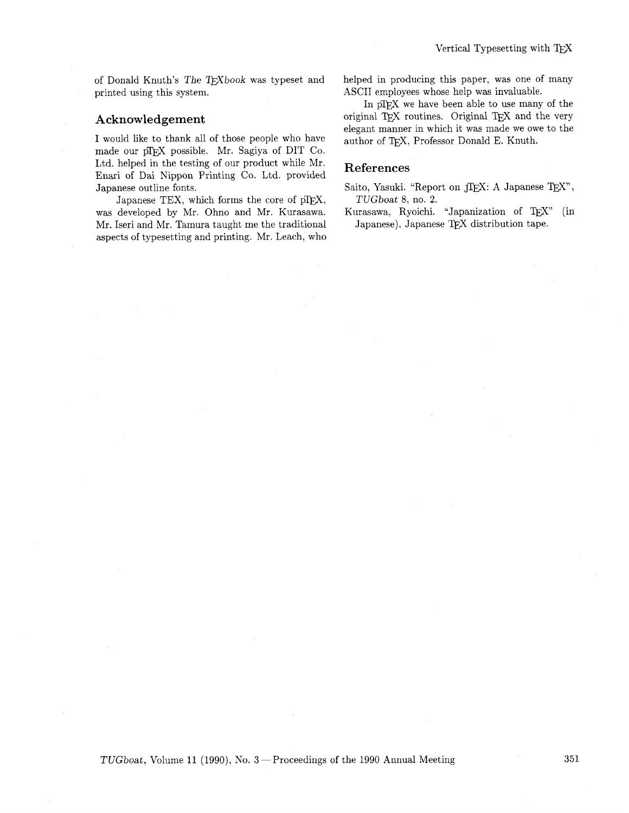of Donald Knuth's The TEXbook was typeset and printed using this system.

### **Acknowledgement**

I would like to thank all of those people who have made our pTFX possible. Mr. Sagiya of DIT Co. Ltd. helped in the testing of our product while Mr. Enari of Dai Nippon Printing Co. Ltd. provided Japanese outline fonts.

Japanese TEX, which forms the core of  $pI$ FX, was developed by Mr. Ohno and Mr. Kurasawa. Mr. Iseri and Mr. Tamura taught me the traditional aspects of typesetting and printing. Mr. Leach, who helped in producing this paper, was one of many ASCII employees whose help was invaluable.

In pIFX we have been able to use many of the original T<sub>EX</sub> routines. Original T<sub>EX</sub> and the very elegant manner in which it was made we owe to the author of TEX, Professor Donald E. Knuth.

#### **References**

- Saito, Yasuki. "Report on JIEX: A Japanese IEX", TUGboat 8, no. **2.**
- Kurasawa, Ryoichi. "Japanization of TFX" (in Japanese), Japanese QX distribution tape.

TUGboat, Volume 11 (1990), No. 3-Proceedings of the 1990 Annual Meeting